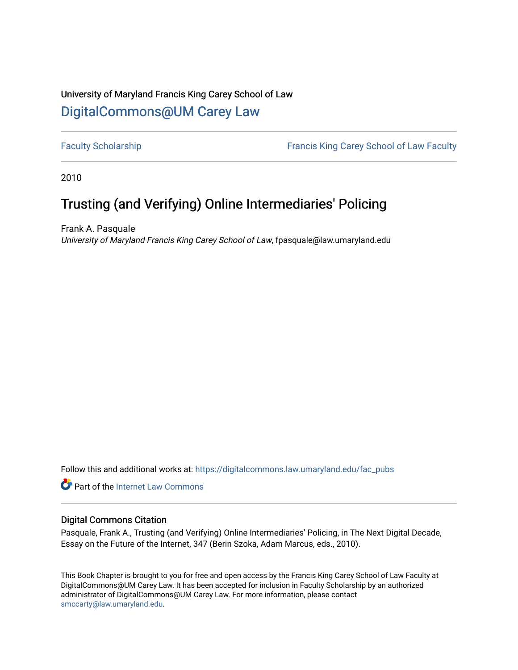#### University of Maryland Francis King Carey School of Law [DigitalCommons@UM Carey Law](https://digitalcommons.law.umaryland.edu/)

[Faculty Scholarship](https://digitalcommons.law.umaryland.edu/fac_pubs) **Francis King Carey School of Law Faculty** 

2010

### Trusting (and Verifying) Online Intermediaries' Policing

Frank A. Pasquale University of Maryland Francis King Carey School of Law, fpasquale@law.umaryland.edu

Follow this and additional works at: [https://digitalcommons.law.umaryland.edu/fac\\_pubs](https://digitalcommons.law.umaryland.edu/fac_pubs?utm_source=digitalcommons.law.umaryland.edu%2Ffac_pubs%2F1370&utm_medium=PDF&utm_campaign=PDFCoverPages) 

**C** Part of the Internet Law Commons

#### Digital Commons Citation

Pasquale, Frank A., Trusting (and Verifying) Online Intermediaries' Policing, in The Next Digital Decade, Essay on the Future of the Internet, 347 (Berin Szoka, Adam Marcus, eds., 2010).

This Book Chapter is brought to you for free and open access by the Francis King Carey School of Law Faculty at DigitalCommons@UM Carey Law. It has been accepted for inclusion in Faculty Scholarship by an authorized administrator of DigitalCommons@UM Carey Law. For more information, please contact [smccarty@law.umaryland.edu](mailto:smccarty@law.umaryland.edu).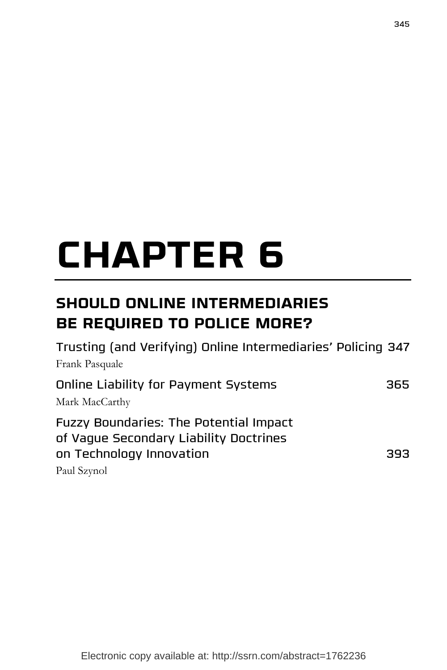# **CHAPTER 6**

#### **SHOULD ONLINE INTERMEDIARIES BE REQUIRED TO POLICE MORE?**

[Trusting \(and Verifying\) Online Intermediaries' Policing 347](#page-2-0) Frank Pasquale

| Online Liability for Payment Systems                                             | 365 |
|----------------------------------------------------------------------------------|-----|
| Mark MacCarthy                                                                   |     |
| Fuzzy Boundaries: The Potential Impact<br>of Vaque Secondary Liability Doctrines |     |
| on Technology Innovation                                                         | 393 |
| Paul Szynol                                                                      |     |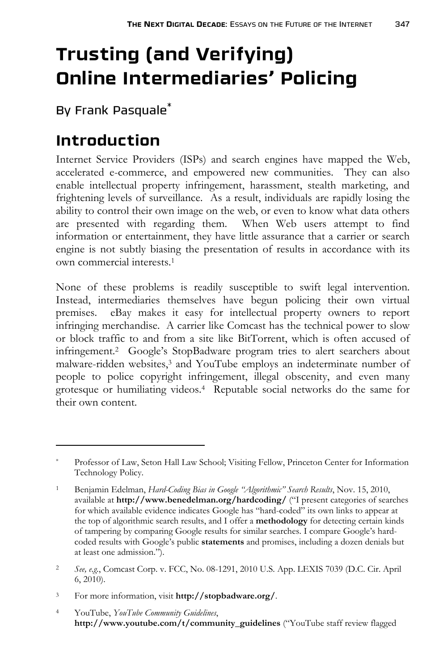## <span id="page-2-0"></span>**Trusting (and Verifying) Online Intermediaries' Policing**

By Frank Pasquale\*

#### **Introduction**

 $\overline{a}$ 

Internet Service Providers (ISPs) and search engines have mapped the Web, accelerated e-commerce, and empowered new communities. They can also enable intellectual property infringement, harassment, stealth marketing, and frightening levels of surveillance. As a result, individuals are rapidly losing the ability to control their own image on the web, or even to know what data others are presented with regarding them. When Web users attempt to find information or entertainment, they have little assurance that a carrier or search engine is not subtly biasing the presentation of results in accordance with its own commercial interests.1

None of these problems is readily susceptible to swift legal intervention. Instead, intermediaries themselves have begun policing their own virtual premises. eBay makes it easy for intellectual property owners to report infringing merchandise. A carrier like Comcast has the technical power to slow or block traffic to and from a site like BitTorrent, which is often accused of infringement.2 Google's StopBadware program tries to alert searchers about malware-ridden websites,3 and YouTube employs an indeterminate number of people to police copyright infringement, illegal obscenity, and even many grotesque or humiliating videos.4 Reputable social networks do the same for their own content.

Professor of Law, Seton Hall Law School; Visiting Fellow, Princeton Center for Information Technology Policy.

<sup>1</sup> Benjamin Edelman, *Hard-Coding Bias in Google "Algorithmic" Search Results*, Nov. 15, 2010, available at **http://www.benedelman.org/hardcoding/** ("I present categories of searches for which available evidence indicates Google has "hard-coded" its own links to appear at the top of algorithmic search results, and I offer a **methodology** for detecting certain kinds of tampering by comparing Google results for similar searches. I compare Google's hardcoded results with Google's public **statements** and promises, including a dozen denials but at least one admission.").

<sup>2</sup> *See, e.g.*, Comcast Corp. v. FCC, No. 08-1291, 2010 U.S. App. LEXIS 7039 (D.C. Cir. April 6, 2010).

<sup>3</sup> For more information, visit **http://stopbadware.org/**.

<sup>4</sup> YouTube, *YouTube Community Guidelines*, **http://www.youtube.com/t/community\_guidelines** ("YouTube staff review flagged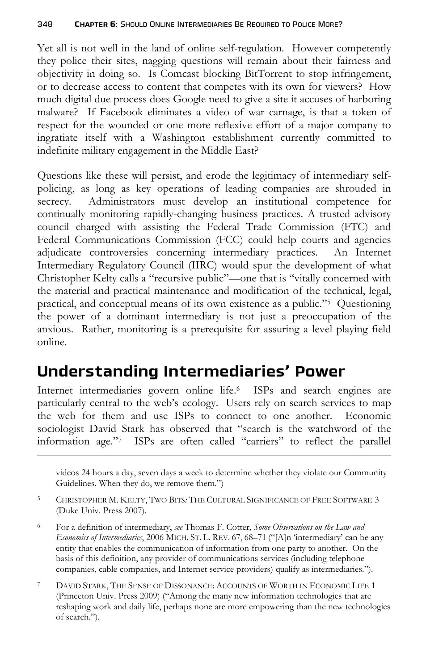Yet all is not well in the land of online self-regulation. However competently they police their sites, nagging questions will remain about their fairness and objectivity in doing so. Is Comcast blocking BitTorrent to stop infringement, or to decrease access to content that competes with its own for viewers? How much digital due process does Google need to give a site it accuses of harboring malware? If Facebook eliminates a video of war carnage, is that a token of respect for the wounded or one more reflexive effort of a major company to ingratiate itself with a Washington establishment currently committed to indefinite military engagement in the Middle East?

Questions like these will persist, and erode the legitimacy of intermediary selfpolicing, as long as key operations of leading companies are shrouded in secrecy. Administrators must develop an institutional competence for continually monitoring rapidly-changing business practices. A trusted advisory council charged with assisting the Federal Trade Commission (FTC) and Federal Communications Commission (FCC) could help courts and agencies adjudicate controversies concerning intermediary practices. An Internet Intermediary Regulatory Council (IIRC) would spur the development of what Christopher Kelty calls a "recursive public"—one that is "vitally concerned with the material and practical maintenance and modification of the technical, legal, practical, and conceptual means of its own existence as a public."5 Questioning the power of a dominant intermediary is not just a preoccupation of the anxious. Rather, monitoring is a prerequisite for assuring a level playing field online.

#### **Understanding Intermediaries' Power**

-

Internet intermediaries govern online life.<sup>6</sup> ISPs and search engines are particularly central to the web's ecology. Users rely on search services to map the web for them and use ISPs to connect to one another. Economic sociologist David Stark has observed that "search is the watchword of the information age."7 ISPs are often called "carriers" to reflect the parallel

videos 24 hours a day, seven days a week to determine whether they violate our Community Guidelines. When they do, we remove them.")

- 5 CHRISTOPHER M. KELTY, TWO BITS*:* THE CULTURAL SIGNIFICANCE OF FREE SOFTWARE 3 (Duke Univ. Press 2007).
- 6 For a definition of intermediary, *see* Thomas F. Cotter, *Some Observations on the Law and Economics of Intermediaries*, 2006 MICH. ST. L. REV. 67, 68–71 ("[A]n 'intermediary' can be any entity that enables the communication of information from one party to another. On the basis of this definition, any provider of communications services (including telephone companies, cable companies, and Internet service providers) qualify as intermediaries.").
- 7 DAVID STARK, THE SENSE OF DISSONANCE: ACCOUNTS OF WORTH IN ECONOMIC LIFE 1 (Princeton Univ. Press 2009) ("Among the many new information technologies that are reshaping work and daily life, perhaps none are more empowering than the new technologies of search.").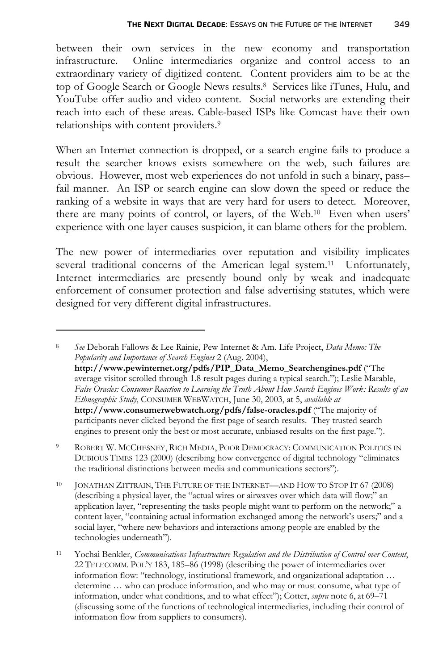between their own services in the new economy and transportation infrastructure. Online intermediaries organize and control access to an extraordinary variety of digitized content. Content providers aim to be at the top of Google Search or Google News results.8 Services like iTunes, Hulu, and YouTube offer audio and video content. Social networks are extending their reach into each of these areas. Cable-based ISPs like Comcast have their own relationships with content providers.9

When an Internet connection is dropped, or a search engine fails to produce a result the searcher knows exists somewhere on the web, such failures are obvious. However, most web experiences do not unfold in such a binary, pass– fail manner. An ISP or search engine can slow down the speed or reduce the ranking of a website in ways that are very hard for users to detect. Moreover, there are many points of control, or layers, of the Web.10 Even when users' experience with one layer causes suspicion, it can blame others for the problem.

The new power of intermediaries over reputation and visibility implicates several traditional concerns of the American legal system.<sup>11</sup> Unfortunately, Internet intermediaries are presently bound only by weak and inadequate enforcement of consumer protection and false advertising statutes, which were designed for very different digital infrastructures.

-

9 ROBERT W. MCCHESNEY, RICH MEDIA, POOR DEMOCRACY: COMMUNICATION POLITICS IN DUBIOUS TIMES 123 (2000) (describing how convergence of digital technology "eliminates the traditional distinctions between media and communications sectors").

10 JONATHAN ZITTRAIN, THE FUTURE OF THE INTERNET—AND HOW TO STOP IT 67 (2008) (describing a physical layer, the "actual wires or airwaves over which data will flow;" an application layer, "representing the tasks people might want to perform on the network;" a content layer, "containing actual information exchanged among the network's users;" and a social layer, "where new behaviors and interactions among people are enabled by the technologies underneath").

<sup>8</sup> *See* Deborah Fallows & Lee Rainie, Pew Internet & Am. Life Project, *Data Memo: The Popularity and Importance of Search Engines* 2 (Aug. 2004), **http://www.pewinternet.org/pdfs/PIP\_Data\_Memo\_Searchengines.pdf** ("The average visitor scrolled through 1.8 result pages during a typical search."); Leslie Marable, *False Oracles: Consumer Reaction to Learning the Truth About How Search Engines Work: Results of an Ethnographic Study*, CONSUMER WEBWATCH, June 30, 2003, at 5, *available at* **http://www.consumerwebwatch.org/pdfs/false-oracles.pdf** ("The majority of participants never clicked beyond the first page of search results. They trusted search engines to present only the best or most accurate, unbiased results on the first page.").

<sup>11</sup> Yochai Benkler, *Communications Infrastructure Regulation and the Distribution of Control over Content*, 22 TELECOMM. POL'Y 183, 185–86 (1998) (describing the power of intermediaries over information flow: "technology, institutional framework, and organizational adaptation … determine … who can produce information, and who may or must consume, what type of information, under what conditions, and to what effect"); Cotter, *supra* note 6, at 69–71 (discussing some of the functions of technological intermediaries, including their control of information flow from suppliers to consumers).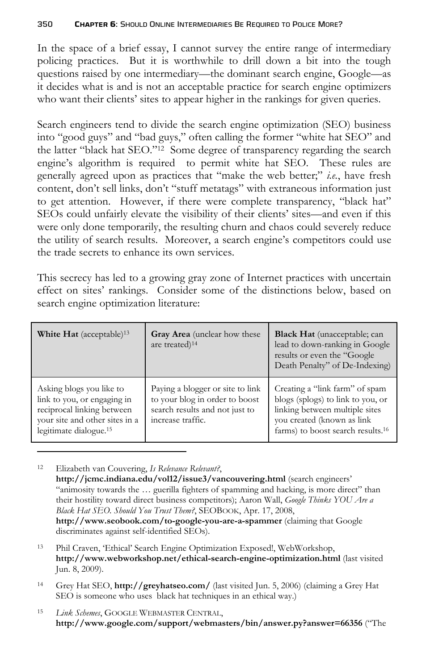In the space of a brief essay, I cannot survey the entire range of intermediary policing practices. But it is worthwhile to drill down a bit into the tough questions raised by one intermediary—the dominant search engine, Google—as it decides what is and is not an acceptable practice for search engine optimizers who want their clients' sites to appear higher in the rankings for given queries.

Search engineers tend to divide the search engine optimization (SEO) business into "good guys" and "bad guys," often calling the former "white hat SEO" and the latter "black hat SEO."12 Some degree of transparency regarding the search engine's algorithm is required to permit white hat SEO. These rules are generally agreed upon as practices that "make the web better;" *i.e.*, have fresh content, don't sell links, don't "stuff metatags" with extraneous information just to get attention. However, if there were complete transparency, "black hat" SEOs could unfairly elevate the visibility of their clients' sites—and even if this were only done temporarily, the resulting churn and chaos could severely reduce the utility of search results. Moreover, a search engine's competitors could use the trade secrets to enhance its own services.

This secrecy has led to a growing gray zone of Internet practices with uncertain effect on sites' rankings. Consider some of the distinctions below, based on search engine optimization literature:

| <b>White Hat</b> (acceptable) <sup>13</sup>                                                                                                                   | <b>Gray Area</b> (unclear how these<br>are treated) <sup>14</sup>                                                         | <b>Black Hat</b> (unacceptable; can<br>lead to down-ranking in Google<br>results or even the "Google"<br>Death Penalty" of De-Indexing)                                              |
|---------------------------------------------------------------------------------------------------------------------------------------------------------------|---------------------------------------------------------------------------------------------------------------------------|--------------------------------------------------------------------------------------------------------------------------------------------------------------------------------------|
| Asking blogs you like to<br>link to you, or engaging in<br>reciprocal linking between<br>your site and other sites in a<br>legitimate dialogue. <sup>15</sup> | Paying a blogger or site to link<br>to your blog in order to boost<br>search results and not just to<br>increase traffic. | Creating a "link farm" of spam<br>blogs (splogs) to link to you, or<br>linking between multiple sites<br>you created (known as link<br>farms) to boost search results. <sup>16</sup> |

<sup>12</sup> Elizabeth van Couvering, *Is Relevance Relevant?*, **http://jcmc.indiana.edu/vol12/issue3/vancouvering.html** (search engineers' "animosity towards the … guerilla fighters of spamming and hacking, is more direct" than their hostility toward direct business competitors); Aaron Wall, *Google Thinks YOU Are a Black Hat SEO. Should You Trust Them?*, SEOBOOK, Apr. 17, 2008, **http://www.seobook.com/to-google-you-are-a-spammer** (claiming that Google discriminates against self-identified SEOs).

- 13 Phil Craven, 'Ethical' Search Engine Optimization Exposed!, WebWorkshop, **http://www.webworkshop.net/ethical-search-engine-optimization.html** (last visited Jun. 8, 2009).
- 14 Grey Hat SEO, **http://greyhatseo.com/** (last visited Jun. 5, 2006) (claiming a Grey Hat SEO is someone who uses black hat techniques in an ethical way.)
- <sup>15</sup> *Link Schemes*, GOOGLE WEBMASTER CENTRAL, **http://www.google.com/support/webmasters/bin/answer.py?answer=66356** ("The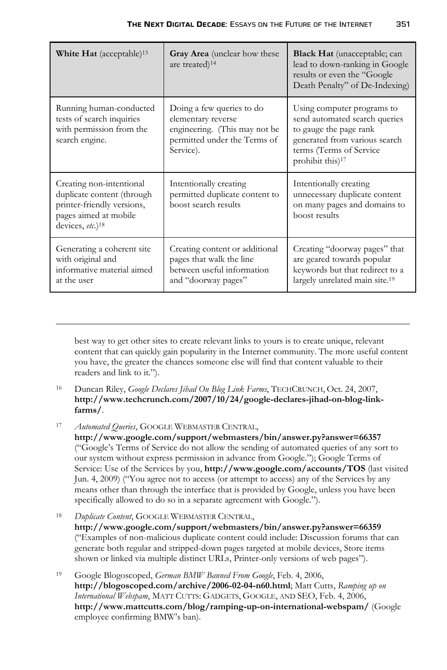| <b>White Hat</b> (acceptable) <sup>13</sup>                                                                                                   | Gray Area (unclear how these<br>are treated) <sup>14</sup>                                                                    | <b>Black Hat</b> (unacceptable; can<br>lead to down-ranking in Google<br>results or even the "Google<br>Death Penalty" of De-Indexing)                                            |
|-----------------------------------------------------------------------------------------------------------------------------------------------|-------------------------------------------------------------------------------------------------------------------------------|-----------------------------------------------------------------------------------------------------------------------------------------------------------------------------------|
| Running human-conducted<br>tests of search inquiries<br>with permission from the<br>search engine.                                            | Doing a few queries to do<br>elementary reverse<br>engineering. (This may not be<br>permitted under the Terms of<br>Service). | Using computer programs to<br>send automated search queries<br>to gauge the page rank<br>generated from various search<br>terms (Terms of Service<br>prohibit this) <sup>17</sup> |
| Creating non-intentional<br>duplicate content (through<br>printer-friendly versions,<br>pages aimed at mobile<br>devices, etc.) <sup>18</sup> | Intentionally creating<br>permitted duplicate content to<br>boost search results                                              | Intentionally creating<br>unnecessary duplicate content<br>on many pages and domains to<br>boost results                                                                          |
| Generating a coherent site<br>with original and<br>informative material aimed<br>at the user                                                  | Creating content or additional<br>pages that walk the line<br>between useful information<br>and "doorway pages"               | Creating "doorway pages" that<br>are geared towards popular<br>keywords but that redirect to a<br>largely unrelated main site. <sup>19</sup>                                      |

best way to get other sites to create relevant links to yours is to create unique, relevant content that can quickly gain popularity in the Internet community. The more useful content you have, the greater the chances someone else will find that content valuable to their readers and link to it.").

16 Duncan Riley, *Google Declares Jihad On Blog Link Farms*, TECHCRUNCH, Oct. 24, 2007, **http://www.techcrunch.com/2007/10/24/google-declares-jihad-on-blog-linkfarms/**.

 $\ddot{\phantom{a}}$ 

- <sup>17</sup> *Automated Queries*, GOOGLE WEBMASTER CENTRAL, **http://www.google.com/support/webmasters/bin/answer.py?answer=66357** ("Google's Terms of Service do not allow the sending of automated queries of any sort to our system without express permission in advance from Google."); Google Terms of Service: Use of the Services by you, **http://www.google.com/accounts/TOS** (last visited Jun. 4, 2009) ("You agree not to access (or attempt to access) any of the Services by any means other than through the interface that is provided by Google, unless you have been specifically allowed to do so in a separate agreement with Google.").
- <sup>18</sup> *Duplicate Content*, GOOGLE WEBMASTER CENTRAL, **http://www.google.com/support/webmasters/bin/answer.py?answer=66359** ("Examples of non-malicious duplicate content could include: Discussion forums that can generate both regular and stripped-down pages targeted at mobile devices, Store items shown or linked via multiple distinct URLs, Printer-only versions of web pages").
- 19 Google Blogoscoped, *German BMW Banned From Google*, Feb. 4, 2006, **http://blogoscoped.com/archive/2006-02-04-n60.html**; Matt Cutts, *Ramping up on International Webspam*, MATT CUTTS: GADGETS, GOOGLE, AND SEO, Feb. 4, 2006, **http://www.mattcutts.com/blog/ramping-up-on-international-webspam/** (Google employee confirming BMW's ban).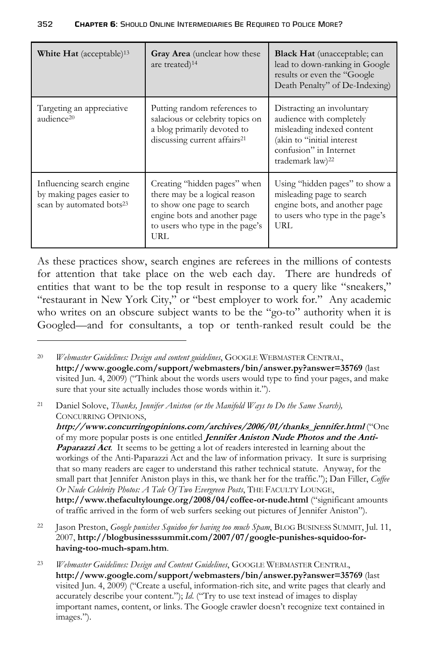| <b>White Hat</b> (acceptable) <sup>13</sup>                                                    | Gray Area (unclear how these<br>are treated) <sup>14</sup>                                                                                                            | <b>Black Hat</b> (unacceptable; can<br>lead to down-ranking in Google<br>results or even the "Google"<br>Death Penalty" of De-Indexing)                                       |
|------------------------------------------------------------------------------------------------|-----------------------------------------------------------------------------------------------------------------------------------------------------------------------|-------------------------------------------------------------------------------------------------------------------------------------------------------------------------------|
| Targeting an appreciative<br>audience <sup>20</sup>                                            | Putting random references to<br>salacious or celebrity topics on<br>a blog primarily devoted to<br>discussing current affairs <sup>21</sup>                           | Distracting an involuntary<br>audience with completely<br>misleading indexed content<br>(akin to "initial interest"<br>confusion" in Internet<br>trademark law) <sup>22</sup> |
| Influencing search engine<br>by making pages easier to<br>scan by automated bots <sup>23</sup> | Creating "hidden pages" when<br>there may be a logical reason<br>to show one page to search<br>engine bots and another page<br>to users who type in the page's<br>URL | Using "hidden pages" to show a<br>misleading page to search<br>engine bots, and another page<br>to users who type in the page's<br>URL.                                       |

As these practices show, search engines are referees in the millions of contests for attention that take place on the web each day. There are hundreds of entities that want to be the top result in response to a query like "sneakers," "restaurant in New York City," or "best employer to work for." Any academic who writes on an obscure subject wants to be the "go-to" authority when it is Googled—and for consultants, a top or tenth-ranked result could be the

 $\ddot{\phantom{a}}$ 

**http://www.concurringopinions.com/archives/2006/01/thanks\_jennifer.html** ("One of my more popular posts is one entitled **Jennifer Aniston Nude Photos and the Anti-Paparazzi Act**. It seems to be getting a lot of readers interested in learning about the workings of the Anti-Paparazzi Act and the law of information privacy. It sure is surprising that so many readers are eager to understand this rather technical statute. Anyway, for the small part that Jennifer Aniston plays in this, we thank her for the traffic."); Dan Filler, *Coffee Or Nude Celebrity Photos: A Tale Of Two Evergreen Posts*, THE FACULTY LOUNGE, **http://www.thefacultylounge.org/2008/04/coffee-or-nude.html** ("significant amounts of traffic arrived in the form of web surfers seeking out pictures of Jennifer Aniston").

22 Jason Preston, *Google punishes Squidoo for having too much Spam*, BLOG BUSINESS SUMMIT, Jul. 11, 2007, **http://blogbusinesssummit.com/2007/07/google-punishes-squidoo-forhaving-too-much-spam.htm**.

<sup>23</sup> *Webmaster Guidelines: Design and Content Guidelines*, GOOGLE WEBMASTER CENTRAL, **http://www.google.com/support/webmasters/bin/answer.py?answer=35769** (last visited Jun. 4, 2009) ("Create a useful, information-rich site, and write pages that clearly and accurately describe your content."); *Id*. ("Try to use text instead of images to display important names, content, or links. The Google crawler doesn't recognize text contained in images.").

<sup>20</sup> *Webmaster Guidelines: Design and content guidelines*, GOOGLE WEBMASTER CENTRAL, **http://www.google.com/support/webmasters/bin/answer.py?answer=35769** (last visited Jun. 4, 2009) ("Think about the words users would type to find your pages, and make sure that your site actually includes those words within it.").

<sup>21</sup> Daniel Solove, *Thanks, Jennifer Aniston (or the Manifold Ways to Do the Same Search),* CONCURRING OPINIONS,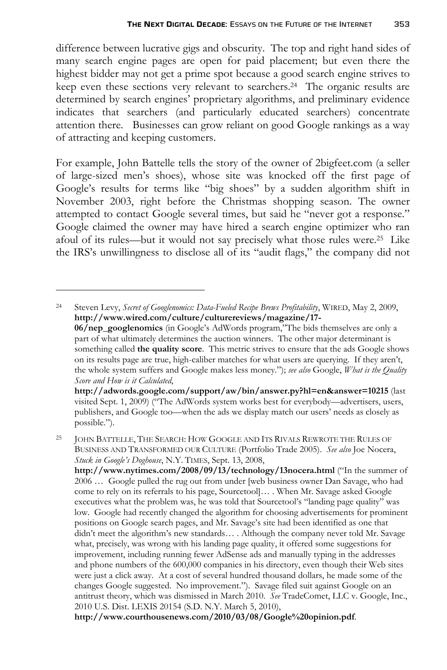difference between lucrative gigs and obscurity. The top and right hand sides of many search engine pages are open for paid placement; but even there the highest bidder may not get a prime spot because a good search engine strives to keep even these sections very relevant to searchers.24 The organic results are determined by search engines' proprietary algorithms, and preliminary evidence indicates that searchers (and particularly educated searchers) concentrate attention there. Businesses can grow reliant on good Google rankings as a way of attracting and keeping customers.

For example, John Battelle tells the story of the owner of 2bigfeet.com (a seller of large-sized men's shoes), whose site was knocked off the first page of Google's results for terms like "big shoes" by a sudden algorithm shift in November 2003, right before the Christmas shopping season. The owner attempted to contact Google several times, but said he "never got a response." Google claimed the owner may have hired a search engine optimizer who ran afoul of its rules—but it would not say precisely what those rules were.25 Like the IRS's unwillingness to disclose all of its "audit flags," the company did not

24 Steven Levy, *Secret of Googlenomics: Data-Fueled Recipe Brews Profitability*, WIRED, May 2, 2009, **http://www.wired.com/culture/culturereviews/magazine/17- 06/nep\_googlenomics** (in Google's AdWords program,"The bids themselves are only a part of what ultimately determines the auction winners. The other major determinant is something called **the quality score**. This metric strives to ensure that the ads Google shows on its results page are true, high-caliber matches for what users are querying. If they aren't, the whole system suffers and Google makes less money."); *see also* Google, *What is the Quality Score and How is it Calculated*,

 $\overline{a}$ 

**http://adwords.google.com/support/aw/bin/answer.py?hl=en&answer=10215** (last visited Sept. 1, 2009) ("The AdWords system works best for everybody—advertisers, users, publishers, and Google too—when the ads we display match our users' needs as closely as possible.").

25 JOHN BATTELLE, THE SEARCH: HOW GOOGLE AND ITS RIVALS REWROTE THE RULES OF BUSINESS AND TRANSFORMED OUR CULTURE (Portfolio Trade 2005). *See also* Joe Nocera, *Stuck in Google's Doghouse*, N.Y. TIMES, Sept. 13, 2008,

**http://www.nytimes.com/2008/09/13/technology/13nocera.html** ("In the summer of 2006 … Google pulled the rug out from under [web business owner Dan Savage, who had come to rely on its referrals to his page, Sourcetool]… . When Mr. Savage asked Google executives what the problem was, he was told that Sourcetool's "landing page quality" was low. Google had recently changed the algorithm for choosing advertisements for prominent positions on Google search pages, and Mr. Savage's site had been identified as one that didn't meet the algorithm's new standards… . Although the company never told Mr. Savage what, precisely, was wrong with his landing page quality, it offered some suggestions for improvement, including running fewer AdSense ads and manually typing in the addresses and phone numbers of the 600,000 companies in his directory, even though their Web sites were just a click away. At a cost of several hundred thousand dollars, he made some of the changes Google suggested. No improvement."). Savage filed suit against Google on an antitrust theory, which was dismissed in March 2010. *See* TradeComet, LLC v. Google, Inc., 2010 U.S. Dist. LEXIS 20154 (S.D. N.Y. March 5, 2010),

**http://www.courthousenews.com/2010/03/08/Google%20opinion.pdf**.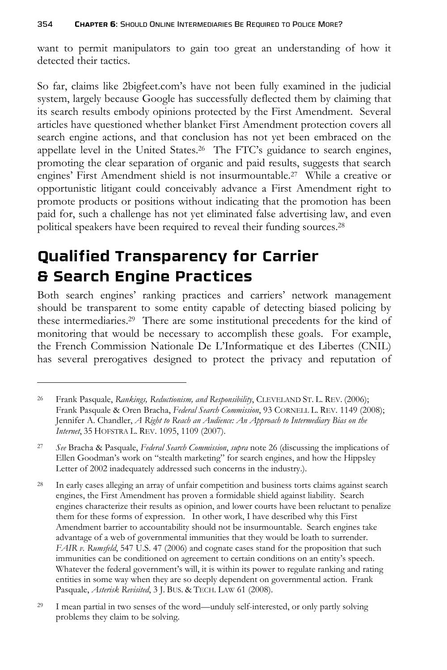want to permit manipulators to gain too great an understanding of how it detected their tactics.

So far, claims like 2bigfeet.com's have not been fully examined in the judicial system, largely because Google has successfully deflected them by claiming that its search results embody opinions protected by the First Amendment. Several articles have questioned whether blanket First Amendment protection covers all search engine actions, and that conclusion has not yet been embraced on the appellate level in the United States.26 The FTC's guidance to search engines, promoting the clear separation of organic and paid results, suggests that search engines' First Amendment shield is not insurmountable.27 While a creative or opportunistic litigant could conceivably advance a First Amendment right to promote products or positions without indicating that the promotion has been paid for, such a challenge has not yet eliminated false advertising law, and even political speakers have been required to reveal their funding sources.28

#### **Qualified Transparency for Carrier & Search Engine Practices**

 $\ddot{\phantom{a}}$ 

Both search engines' ranking practices and carriers' network management should be transparent to some entity capable of detecting biased policing by these intermediaries.29 There are some institutional precedents for the kind of monitoring that would be necessary to accomplish these goals. For example, the French Commission Nationale De L'Informatique et des Libertes (CNIL) has several prerogatives designed to protect the privacy and reputation of

<sup>27</sup> *See* Bracha & Pasquale, *Federal Search Commission*, *supra* note 26 (discussing the implications of Ellen Goodman's work on "stealth marketing" for search engines, and how the Hippsley Letter of 2002 inadequately addressed such concerns in the industry.).

<sup>28</sup> In early cases alleging an array of unfair competition and business torts claims against search engines, the First Amendment has proven a formidable shield against liability. Search engines characterize their results as opinion, and lower courts have been reluctant to penalize them for these forms of expression. In other work, I have described why this First Amendment barrier to accountability should not be insurmountable. Search engines take advantage of a web of governmental immunities that they would be loath to surrender. *FAIR v. Rumsfeld*, 547 U.S. 47 (2006) and cognate cases stand for the proposition that such immunities can be conditioned on agreement to certain conditions on an entity's speech. Whatever the federal government's will, it is within its power to regulate ranking and rating entities in some way when they are so deeply dependent on governmental action. Frank Pasquale, *Asterisk Revisited*, 3 J. BUS. & TECH. LAW 61 (2008).

<sup>26</sup> Frank Pasquale, *Rankings, Reductionism, and Responsibility*, CLEVELAND ST. L. REV. (2006); Frank Pasquale & Oren Bracha, *Federal Search Commission*, 93 CORNELL L. REV. 1149 (2008); Jennifer A. Chandler, *A Right to Reach an Audience: An Approach to Intermediary Bias on the Internet*, 35 HOFSTRA L. REV. 1095, 1109 (2007).

<sup>&</sup>lt;sup>29</sup> I mean partial in two senses of the word—unduly self-interested, or only partly solving problems they claim to be solving.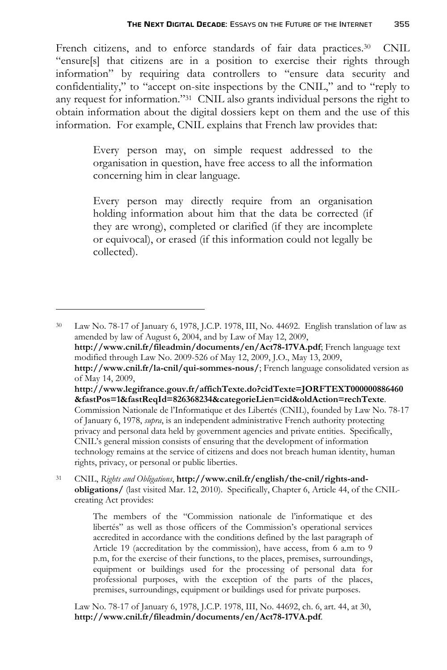French citizens, and to enforce standards of fair data practices.<sup>30</sup> CNIL "ensure[s] that citizens are in a position to exercise their rights through information" by requiring data controllers to "ensure data security and confidentiality," to "accept on-site inspections by the CNIL," and to "reply to any request for information."31 CNIL also grants individual persons the right to obtain information about the digital dossiers kept on them and the use of this information. For example, CNIL explains that French law provides that:

> Every person may, on simple request addressed to the organisation in question, have free access to all the information concerning him in clear language.

> Every person may directly require from an organisation holding information about him that the data be corrected (if they are wrong), completed or clarified (if they are incomplete or equivocal), or erased (if this information could not legally be collected).

<sup>30</sup> Law No. 78-17 of January 6, 1978, J.C.P. 1978, III, No. 44692. English translation of law as amended by law of August 6, 2004, and by Law of May 12, 2009, **http://www.cnil.fr/fileadmin/documents/en/Act78-17VA.pdf**; French language text modified through Law No. 2009-526 of May 12, 2009, J.O., May 13, 2009, **http://www.cnil.fr/la-cnil/qui-sommes-nous/**; French language consolidated version as of May 14, 2009, **http://www.legifrance.gouv.fr/affichTexte.do?cidTexte=JORFTEXT000000886460 &fastPos=1&fastReqId=826368234&categorieLien=cid&oldAction=rechTexte**. Commission Nationale de l'Informatique et des Libertés (CNIL), founded by Law No. 78-17 of January 6, 1978, *supra*, is an independent administrative French authority protecting privacy and personal data held by government agencies and private entities. Specifically,

CNIL's general mission consists of ensuring that the development of information technology remains at the service of citizens and does not breach human identity, human rights, privacy, or personal or public liberties.

<sup>31</sup> CNIL, *Rights and Obligations*, **http://www.cnil.fr/english/the-cnil/rights-andobligations/** (last visited Mar. 12, 2010). Specifically, Chapter 6, Article 44, of the CNILcreating Act provides:

The members of the "Commission nationale de l'informatique et des libertés" as well as those officers of the Commission's operational services accredited in accordance with the conditions defined by the last paragraph of Article 19 (accreditation by the commission), have access, from 6 a.m to 9 p.m, for the exercise of their functions, to the places, premises, surroundings, equipment or buildings used for the processing of personal data for professional purposes, with the exception of the parts of the places, premises, surroundings, equipment or buildings used for private purposes.

Law No. 78-17 of January 6, 1978, J.C.P. 1978, III, No. 44692, ch. 6, art. 44, at 30, **http://www.cnil.fr/fileadmin/documents/en/Act78-17VA.pdf**.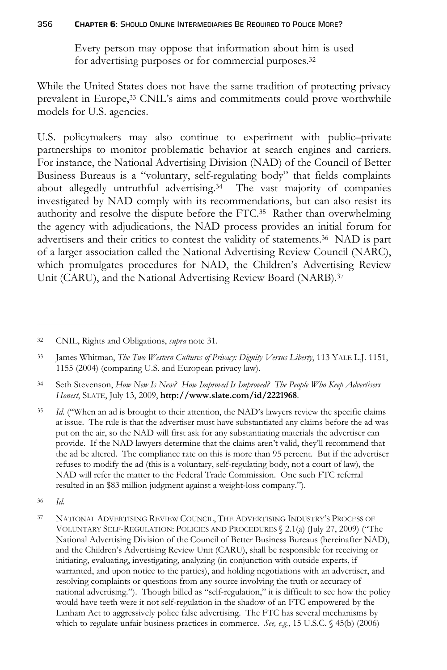Every person may oppose that information about him is used for advertising purposes or for commercial purposes.32

While the United States does not have the same tradition of protecting privacy prevalent in Europe,<sup>33</sup> CNIL's aims and commitments could prove worthwhile models for U.S. agencies.

U.S. policymakers may also continue to experiment with public–private partnerships to monitor problematic behavior at search engines and carriers. For instance, the National Advertising Division (NAD) of the Council of Better Business Bureaus is a "voluntary, self-regulating body" that fields complaints about allegedly untruthful advertising.<sup>34</sup> The vast majority of companies investigated by NAD comply with its recommendations, but can also resist its authority and resolve the dispute before the FTC.35 Rather than overwhelming the agency with adjudications, the NAD process provides an initial forum for advertisers and their critics to contest the validity of statements.36 NAD is part of a larger association called the National Advertising Review Council (NARC), which promulgates procedures for NAD, the Children's Advertising Review Unit (CARU), and the National Advertising Review Board (NARB).37

<sup>32</sup> CNIL, Rights and Obligations, *supra* note 31.

<sup>33</sup> James Whitman, *The Two Western Cultures of Privacy: Dignity Versus Liberty*, 113 YALE L.J. 1151, 1155 (2004) (comparing U.S. and European privacy law).

<sup>34</sup> Seth Stevenson, *How New Is New? How Improved Is Improved? The People Who Keep Advertisers Honest*, SLATE, July 13, 2009, **http://www.slate.com/id/2221968**.

<sup>&</sup>lt;sup>35</sup> *Id.* ("When an ad is brought to their attention, the NAD's lawyers review the specific claims at issue. The rule is that the advertiser must have substantiated any claims before the ad was put on the air, so the NAD will first ask for any substantiating materials the advertiser can provide. If the NAD lawyers determine that the claims aren't valid, they'll recommend that the ad be altered. The compliance rate on this is more than 95 percent. But if the advertiser refuses to modify the ad (this is a voluntary, self-regulating body, not a court of law), the NAD will refer the matter to the Federal Trade Commission. One such FTC referral resulted in an \$83 million judgment against a weight-loss company.").

<sup>36</sup> *Id.*

<sup>37</sup> NATIONAL ADVERTISING REVIEW COUNCIL, THE ADVERTISING INDUSTRY'S PROCESS OF VOLUNTARY SELF-REGULATION: POLICIES AND PROCEDURES § 2.1(a) (July 27, 2009) ("The National Advertising Division of the Council of Better Business Bureaus (hereinafter NAD), and the Children's Advertising Review Unit (CARU), shall be responsible for receiving or initiating, evaluating, investigating, analyzing (in conjunction with outside experts, if warranted, and upon notice to the parties), and holding negotiations with an advertiser, and resolving complaints or questions from any source involving the truth or accuracy of national advertising."). Though billed as "self-regulation," it is difficult to see how the policy would have teeth were it not self-regulation in the shadow of an FTC empowered by the Lanham Act to aggressively police false advertising. The FTC has several mechanisms by which to regulate unfair business practices in commerce. *See, e.g.*, 15 U.S.C. § 45(b) (2006)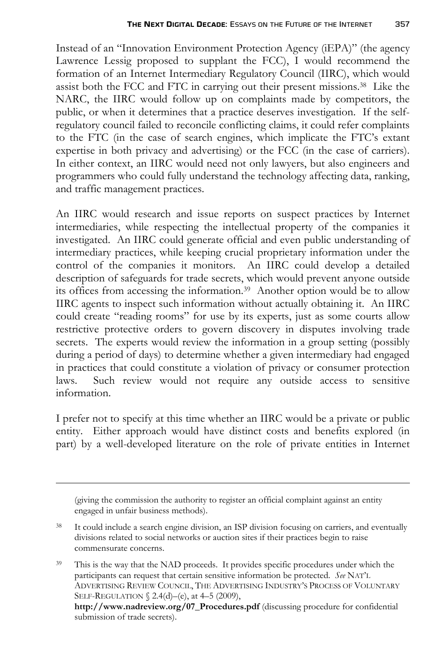Instead of an "Innovation Environment Protection Agency (iEPA)" (the agency Lawrence Lessig proposed to supplant the FCC), I would recommend the formation of an Internet Intermediary Regulatory Council (IIRC), which would assist both the FCC and FTC in carrying out their present missions.38 Like the NARC, the IIRC would follow up on complaints made by competitors, the public, or when it determines that a practice deserves investigation. If the selfregulatory council failed to reconcile conflicting claims, it could refer complaints to the FTC (in the case of search engines, which implicate the FTC's extant expertise in both privacy and advertising) or the FCC (in the case of carriers). In either context, an IIRC would need not only lawyers, but also engineers and programmers who could fully understand the technology affecting data, ranking, and traffic management practices.

An IIRC would research and issue reports on suspect practices by Internet intermediaries, while respecting the intellectual property of the companies it investigated. An IIRC could generate official and even public understanding of intermediary practices, while keeping crucial proprietary information under the control of the companies it monitors. An IIRC could develop a detailed description of safeguards for trade secrets, which would prevent anyone outside its offices from accessing the information.39 Another option would be to allow IIRC agents to inspect such information without actually obtaining it. An IIRC could create "reading rooms" for use by its experts, just as some courts allow restrictive protective orders to govern discovery in disputes involving trade secrets. The experts would review the information in a group setting (possibly during a period of days) to determine whether a given intermediary had engaged in practices that could constitute a violation of privacy or consumer protection laws. Such review would not require any outside access to sensitive information.

I prefer not to specify at this time whether an IIRC would be a private or public entity. Either approach would have distinct costs and benefits explored (in part) by a well-developed literature on the role of private entities in Internet

(giving the commission the authority to register an official complaint against an entity engaged in unfair business methods).

<sup>&</sup>lt;sup>38</sup> It could include a search engine division, an ISP division focusing on carriers, and eventually divisions related to social networks or auction sites if their practices begin to raise commensurate concerns.

<sup>&</sup>lt;sup>39</sup> This is the way that the NAD proceeds. It provides specific procedures under which the participants can request that certain sensitive information be protected. *See* NAT'L ADVERTISING REVIEW COUNCIL, THE ADVERTISING INDUSTRY'S PROCESS OF VOLUNTARY SELF-REGULATION § 2.4(d)–(e), at 4–5 (2009),

**http://www.nadreview.org/07\_Procedures.pdf** (discussing procedure for confidential submission of trade secrets).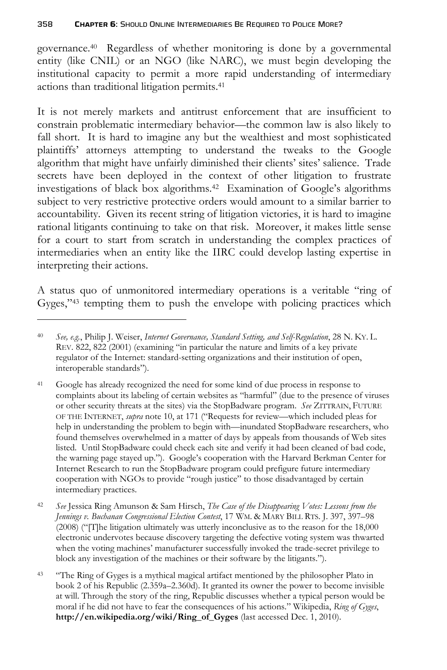governance.40 Regardless of whether monitoring is done by a governmental entity (like CNIL) or an NGO (like NARC), we must begin developing the institutional capacity to permit a more rapid understanding of intermediary actions than traditional litigation permits.41

It is not merely markets and antitrust enforcement that are insufficient to constrain problematic intermediary behavior—the common law is also likely to fall short. It is hard to imagine any but the wealthiest and most sophisticated plaintiffs' attorneys attempting to understand the tweaks to the Google algorithm that might have unfairly diminished their clients' sites' salience. Trade secrets have been deployed in the context of other litigation to frustrate investigations of black box algorithms.42 Examination of Google's algorithms subject to very restrictive protective orders would amount to a similar barrier to accountability. Given its recent string of litigation victories, it is hard to imagine rational litigants continuing to take on that risk. Moreover, it makes little sense for a court to start from scratch in understanding the complex practices of intermediaries when an entity like the IIRC could develop lasting expertise in interpreting their actions.

A status quo of unmonitored intermediary operations is a veritable "ring of Gyges,"43 tempting them to push the envelope with policing practices which

<sup>40</sup> *See, e.g.*, Philip J. Weiser, *Internet Governance, Standard Setting, and Self-Regulation*, 28 N. KY. L. REV. 822, 822 (2001) (examining "in particular the nature and limits of a key private regulator of the Internet: standard-setting organizations and their institution of open, interoperable standards").

<sup>41</sup> Google has already recognized the need for some kind of due process in response to complaints about its labeling of certain websites as "harmful" (due to the presence of viruses or other security threats at the sites) via the StopBadware program. *See* ZITTRAIN, FUTURE OF THE INTERNET, *supra* note 10, at 171 ("Requests for review—which included pleas for help in understanding the problem to begin with—inundated StopBadware researchers, who found themselves overwhelmed in a matter of days by appeals from thousands of Web sites listed. Until StopBadware could check each site and verify it had been cleaned of bad code, the warning page stayed up."). Google's cooperation with the Harvard Berkman Center for Internet Research to run the StopBadware program could prefigure future intermediary cooperation with NGOs to provide "rough justice" to those disadvantaged by certain intermediary practices.

<sup>42</sup> *See* Jessica Ring Amunson & Sam Hirsch, *The Case of the Disappearing Votes: Lessons from the Jennings v. Buchanan Congressional Election Contest*, 17 WM. & MARY BILL RTS. J. 397, 397–98 (2008) ("[T]he litigation ultimately was utterly inconclusive as to the reason for the 18,000 electronic undervotes because discovery targeting the defective voting system was thwarted when the voting machines' manufacturer successfully invoked the trade-secret privilege to block any investigation of the machines or their software by the litigants.").

<sup>&</sup>lt;sup>43</sup> "The Ring of Gyges is a mythical magical artifact mentioned by the philosopher Plato in book 2 of his Republic (2.359a–2.360d). It granted its owner the power to become invisible at will. Through the story of the ring, Republic discusses whether a typical person would be moral if he did not have to fear the consequences of his actions." Wikipedia, *Ring of Gyges*, **http://en.wikipedia.org/wiki/Ring\_of\_Gyges** (last accessed Dec. 1, 2010).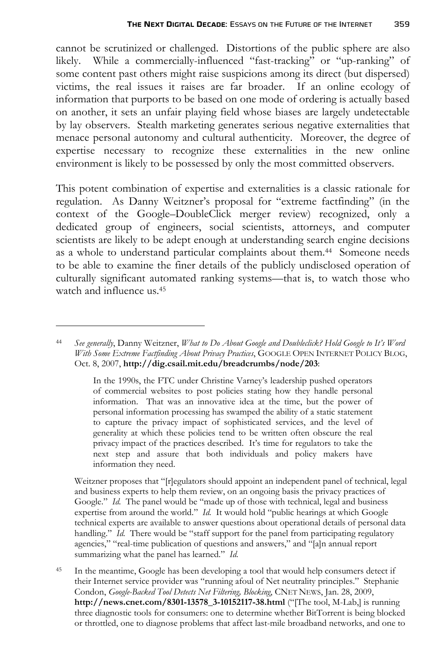cannot be scrutinized or challenged. Distortions of the public sphere are also likely. While a commercially-influenced "fast-tracking" or "up-ranking" of some content past others might raise suspicions among its direct (but dispersed) victims, the real issues it raises are far broader. If an online ecology of information that purports to be based on one mode of ordering is actually based on another, it sets an unfair playing field whose biases are largely undetectable by lay observers. Stealth marketing generates serious negative externalities that menace personal autonomy and cultural authenticity. Moreover, the degree of expertise necessary to recognize these externalities in the new online environment is likely to be possessed by only the most committed observers.

This potent combination of expertise and externalities is a classic rationale for regulation. As Danny Weitzner's proposal for "extreme factfinding" (in the context of the Google–DoubleClick merger review) recognized, only a dedicated group of engineers, social scientists, attorneys, and computer scientists are likely to be adept enough at understanding search engine decisions as a whole to understand particular complaints about them.44 Someone needs to be able to examine the finer details of the publicly undisclosed operation of culturally significant automated ranking systems—that is, to watch those who watch and influence us.45

-

In the 1990s, the FTC under Christine Varney's leadership pushed operators of commercial websites to post policies stating how they handle personal information. That was an innovative idea at the time, but the power of personal information processing has swamped the ability of a static statement to capture the privacy impact of sophisticated services, and the level of generality at which these policies tend to be written often obscure the real privacy impact of the practices described. It's time for regulators to take the next step and assure that both individuals and policy makers have information they need.

 Weitzner proposes that "[r]egulators should appoint an independent panel of technical, legal and business experts to help them review, on an ongoing basis the privacy practices of Google." *Id.* The panel would be "made up of those with technical, legal and business expertise from around the world." *Id.* It would hold "public hearings at which Google technical experts are available to answer questions about operational details of personal data handling." *Id.* There would be "staff support for the panel from participating regulatory agencies," "real-time publication of questions and answers," and "[a]n annual report summarizing what the panel has learned." *Id.*

In the meantime, Google has been developing a tool that would help consumers detect if their Internet service provider was "running afoul of Net neutrality principles." Stephanie Condon, *Google-Backed Tool Detects Net Filtering, Blocking*, CNET NEWS, Jan. 28, 2009, **http://news.cnet.com/8301-13578\_3-10152117-38.html** ("[The tool, M-Lab,] is running three diagnostic tools for consumers: one to determine whether BitTorrent is being blocked or throttled, one to diagnose problems that affect last-mile broadband networks, and one to

<sup>44</sup> *See generally*, Danny Weitzner, *What to Do About Google and Doubleclick? Hold Google to It's Word With Some Extreme Factfinding About Privacy Practices*, GOOGLE OPEN INTERNET POLICY BLOG, Oct. 8, 2007, **http://dig.csail.mit.edu/breadcrumbs/node/203**: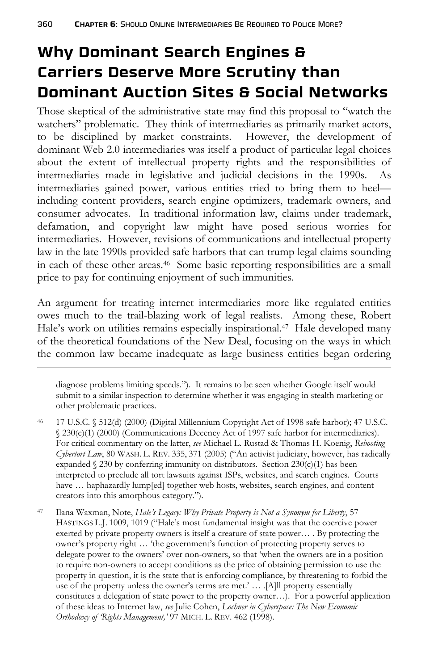#### **Why Dominant Search Engines & Carriers Deserve More Scrutiny than Dominant Auction Sites & Social Networks**

Those skeptical of the administrative state may find this proposal to "watch the watchers" problematic. They think of intermediaries as primarily market actors, to be disciplined by market constraints. However, the development of dominant Web 2.0 intermediaries was itself a product of particular legal choices about the extent of intellectual property rights and the responsibilities of intermediaries made in legislative and judicial decisions in the 1990s. As intermediaries gained power, various entities tried to bring them to heel including content providers, search engine optimizers, trademark owners, and consumer advocates. In traditional information law, claims under trademark, defamation, and copyright law might have posed serious worries for intermediaries. However, revisions of communications and intellectual property law in the late 1990s provided safe harbors that can trump legal claims sounding in each of these other areas.46 Some basic reporting responsibilities are a small price to pay for continuing enjoyment of such immunities.

An argument for treating internet intermediaries more like regulated entities owes much to the trail-blazing work of legal realists. Among these, Robert Hale's work on utilities remains especially inspirational.<sup>47</sup> Hale developed many of the theoretical foundations of the New Deal, focusing on the ways in which the common law became inadequate as large business entities began ordering

-

diagnose problems limiting speeds."). It remains to be seen whether Google itself would submit to a similar inspection to determine whether it was engaging in stealth marketing or other problematic practices.

- 46 17 U.S.C. § 512(d) (2000) (Digital Millennium Copyright Act of 1998 safe harbor); 47 U.S.C. § 230(c)(1) (2000) (Communications Decency Act of 1997 safe harbor for intermediaries). For critical commentary on the latter, *see* Michael L. Rustad & Thomas H. Koenig, *Rebooting Cybertort Law*, 80 WASH. L. REV. 335, 371 (2005) ("An activist judiciary, however, has radically expanded  $\S 230$  by conferring immunity on distributors. Section 230(c)(1) has been interpreted to preclude all tort lawsuits against ISPs, websites, and search engines. Courts have ... haphazardly lump[ed] together web hosts, websites, search engines, and content creators into this amorphous category.").
- 47 Ilana Waxman, Note, *Hale's Legacy: Why Private Property is Not a Synonym for Liberty*, 57 HASTINGS L.J. 1009, 1019 ("Hale's most fundamental insight was that the coercive power exerted by private property owners is itself a creature of state power… . By protecting the owner's property right … 'the government's function of protecting property serves to delegate power to the owners' over non-owners, so that 'when the owners are in a position to require non-owners to accept conditions as the price of obtaining permission to use the property in question, it is the state that is enforcing compliance, by threatening to forbid the use of the property unless the owner's terms are met.' … .[A]ll property essentially constitutes a delegation of state power to the property owner…). For a powerful application of these ideas to Internet law, *see* Julie Cohen, *Lochner in Cyberspace: The New Economic Orthodoxy of 'Rights Management,'* 97 MICH. L. REV. 462 (1998).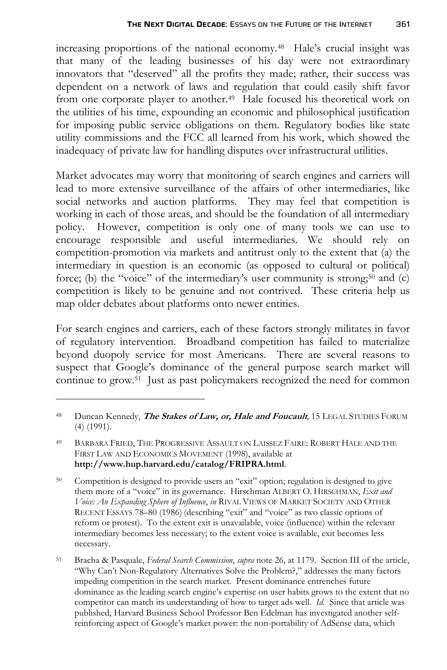increasing proportions of the national economy.48 Hale's crucial insight was that many of the leading businesses of his day were not extraordinary innovators that "deserved" all the profits they made; rather, their success was dependent on a network of laws and regulation that could easily shift favor from one corporate player to another.<sup>49</sup> Hale focused his theoretical work on the utilities of his time, expounding an economic and philosophical justification for imposing public service obligations on them. Regulatory bodies like state utility commissions and the FCC all learned from his work, which showed the inadequacy of private law for handling disputes over infrastructural utilities.

Market advocates may worry that monitoring of search engines and carriers will lead to more extensive surveillance of the affairs of other intermediaries, like social networks and auction platforms. They may feel that competition is working in each of those areas, and should be the foundation of all intermediary policy. However, competition is only one of many tools we can use to encourage responsible and useful intermediaries. We should rely on competition-promotion via markets and antitrust only to the extent that (a) the intermediary in question is an economic (as opposed to cultural or political) force; (b) the "voice" of the intermediary's user community is strong;<sup>50</sup> and (c) competition is likely to be genuine and not contrived. These criteria help us map older debates about platforms onto newer entities.

For search engines and carriers, each of these factors strongly militates in favor of regulatory intervention. Broadband competition has failed to materialize beyond duopoly service for most Americans. There are several reasons to suspect that Google's dominance of the general purpose search market will continue to grow.51 Just as past policymakers recognized the need for common

<sup>48</sup> Duncan Kennedy, **The Stakes of Law, or, Hale and Foucault**, 15 LEGAL STUDIES FORUM (4) (1991).

<sup>49</sup> BARBARA FRIED, THE PROGRESSIVE ASSAULT ON LAISSEZ FAIRE: ROBERT HALE AND THE FIRST LAW AND ECONOMICS MOVEMENT (1998), available at **http://www.hup.harvard.edu/catalog/FRIPRA.html**.

<sup>&</sup>lt;sup>50</sup> Competition is designed to provide users an "exit" option; regulation is designed to give them more of a "voice" in its governance. Hirschman ALBERT O. HIRSCHMAN, *Exit and Voice: An Expanding Sphere of Influence*, *in* RIVAL VIEWS OF MARKET SOCIETY AND OTHER RECENT ESSAYS 78–80 (1986) (describing "exit" and "voice" as two classic options of reform or protest). To the extent exit is unavailable, voice (influence) within the relevant intermediary becomes less necessary; to the extent voice is available, exit becomes less necessary.

<sup>51</sup> Bracha & Pasquale, *Federal Search Commission*, *supra* note 26, at 1179. Section III of the article, "Why Can't Non-Regulatory Alternatives Solve the Problem?," addresses the many factors impeding competition in the search market. Present dominance entrenches future dominance as the leading search engine's expertise on user habits grows to the extent that no competitor can match its understanding of how to target ads well. *Id.* Since that article was published, Harvard Business School Professor Ben Edelman has investigated another selfreinforcing aspect of Google's market power: the non-portability of AdSense data, which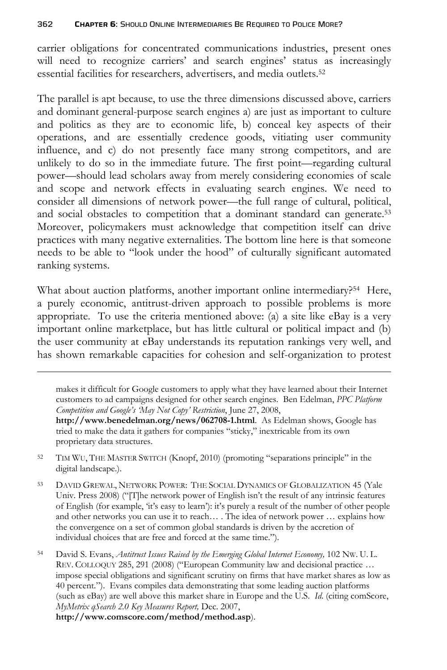carrier obligations for concentrated communications industries, present ones will need to recognize carriers' and search engines' status as increasingly essential facilities for researchers, advertisers, and media outlets.52

The parallel is apt because, to use the three dimensions discussed above, carriers and dominant general-purpose search engines a) are just as important to culture and politics as they are to economic life, b) conceal key aspects of their operations, and are essentially credence goods, vitiating user community influence, and c) do not presently face many strong competitors, and are unlikely to do so in the immediate future. The first point—regarding cultural power—should lead scholars away from merely considering economies of scale and scope and network effects in evaluating search engines. We need to consider all dimensions of network power—the full range of cultural, political, and social obstacles to competition that a dominant standard can generate.<sup>53</sup> Moreover, policymakers must acknowledge that competition itself can drive practices with many negative externalities. The bottom line here is that someone needs to be able to "look under the hood" of culturally significant automated ranking systems.

What about auction platforms, another important online intermediary?<sup>54</sup> Here, a purely economic, antitrust-driven approach to possible problems is more appropriate. To use the criteria mentioned above: (a) a site like eBay is a very important online marketplace, but has little cultural or political impact and (b) the user community at eBay understands its reputation rankings very well, and has shown remarkable capacities for cohesion and self-organization to protest

makes it difficult for Google customers to apply what they have learned about their Internet customers to ad campaigns designed for other search engines. Ben Edelman, *PPC Platform Competition and Google's 'May Not Copy' Restriction*, June 27, 2008, **http://www.benedelman.org/news/062708-1.html**. As Edelman shows, Google has

tried to make the data it gathers for companies "sticky," inextricable from its own proprietary data structures.

52 TIM WU, THE MASTER SWITCH (Knopf, 2010) (promoting "separations principle" in the digital landscape.).

53 DAVID GREWAL, NETWORK POWER: THE SOCIAL DYNAMICS OF GLOBALIZATION 45 (Yale Univ. Press 2008) ("[T]he network power of English isn't the result of any intrinsic features of English (for example, 'it's easy to learn'): it's purely a result of the number of other people and other networks you can use it to reach… . The idea of network power … explains how the convergence on a set of common global standards is driven by the accretion of individual choices that are free and forced at the same time.").

54 David S. Evans, *Antitrust Issues Raised by the Emerging Global Internet Economy,* 102 NW. U. L. REV. COLLOQUY 285, 291 (2008) ("European Community law and decisional practice … impose special obligations and significant scrutiny on firms that have market shares as low as 40 percent."). Evans compiles data demonstrating that some leading auction platforms (such as eBay) are well above this market share in Europe and the U.S. *Id*. (citing comScore, *MyMetrix qSearch 2.0 Key Measures Report,* Dec. 2007,

**http://www.comscore.com/method/method.asp**).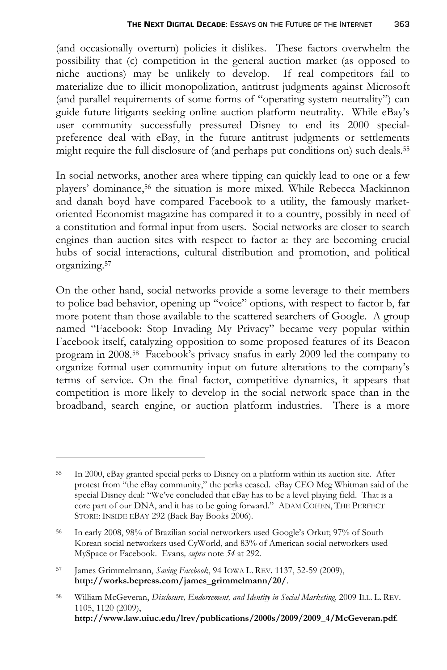(and occasionally overturn) policies it dislikes. These factors overwhelm the possibility that (c) competition in the general auction market (as opposed to niche auctions) may be unlikely to develop. If real competitors fail to materialize due to illicit monopolization, antitrust judgments against Microsoft (and parallel requirements of some forms of "operating system neutrality") can guide future litigants seeking online auction platform neutrality. While eBay's user community successfully pressured Disney to end its 2000 specialpreference deal with eBay, in the future antitrust judgments or settlements might require the full disclosure of (and perhaps put conditions on) such deals.<sup>55</sup>

In social networks, another area where tipping can quickly lead to one or a few players' dominance,<sup>56</sup> the situation is more mixed. While Rebecca Mackinnon and danah boyd have compared Facebook to a utility, the famously marketoriented Economist magazine has compared it to a country, possibly in need of a constitution and formal input from users. Social networks are closer to search engines than auction sites with respect to factor a: they are becoming crucial hubs of social interactions, cultural distribution and promotion, and political organizing.57

On the other hand, social networks provide a some leverage to their members to police bad behavior, opening up "voice" options, with respect to factor b, far more potent than those available to the scattered searchers of Google. A group named "Facebook: Stop Invading My Privacy" became very popular within Facebook itself, catalyzing opposition to some proposed features of its Beacon program in 2008.58 Facebook's privacy snafus in early 2009 led the company to organize formal user community input on future alterations to the company's terms of service. On the final factor, competitive dynamics, it appears that competition is more likely to develop in the social network space than in the broadband, search engine, or auction platform industries. There is a more

<sup>55</sup> In 2000, eBay granted special perks to Disney on a platform within its auction site. After protest from "the eBay community," the perks ceased. eBay CEO Meg Whitman said of the special Disney deal: "We've concluded that eBay has to be a level playing field. That is a core part of our DNA, and it has to be going forward." ADAM COHEN, THE PERFECT STORE: INSIDE EBAY 292 (Back Bay Books 2006).

<sup>56</sup> In early 2008, 98% of Brazilian social networkers used Google's Orkut; 97% of South Korean social networkers used CyWorld, and 83% of American social networkers used MySpace or Facebook. Evans*, supra* note *54* at 292.

<sup>57</sup> James Grimmelmann, *Saving Facebook*, 94 IOWA L. REV. 1137, 52-59 (2009), **http://works.bepress.com/james\_grimmelmann/20/**.

<sup>58</sup> William McGeveran, *Disclosure, Endorsement, and Identity in Social Marketing*, 2009 ILL. L. REV. 1105, 1120 (2009), **http://www.law.uiuc.edu/lrev/publications/2000s/2009/2009\_4/McGeveran.pdf**.